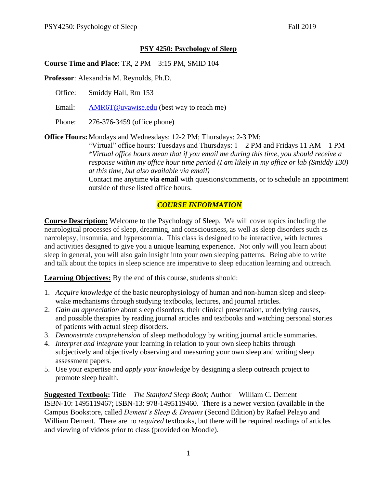### **PSY 4250: Psychology of Sleep**

**Course Time and Place**: TR, 2 PM – 3:15 PM, SMID 104

**Professor**: Alexandria M. Reynolds, Ph.D.

Office: Smiddy Hall, Rm 153

Email: [AMR6T@uvawise.edu](mailto:AMR6T@uvawise.edu) (best way to reach me)

Phone: 276-376-3459 (office phone)

**Office Hours:** Mondays and Wednesdays: 12-2 PM; Thursdays: 2-3 PM;

"Virtual" office hours: Tuesdays and Thursdays:  $1 - 2 PM$  and Fridays 11 AM – 1 PM *\*Virtual office hours mean that if you email me during this time, you should receive a response within my office hour time period (I am likely in my office or lab (Smiddy 130) at this time, but also available via email)*

Contact me anytime **via email** with questions/comments, or to schedule an appointment outside of these listed office hours.

## *COURSE INFORMATION*

**Course Description:** Welcome to the Psychology of Sleep. We will cover topics including the neurological processes of sleep, dreaming, and consciousness, as well as sleep disorders such as narcolepsy, insomnia, and hypersomnia. This class is designed to be interactive, with lectures and activities designed to give you a unique learning experience. Not only will you learn about sleep in general, you will also gain insight into your own sleeping patterns. Being able to write and talk about the topics in sleep science are imperative to sleep education learning and outreach.

**Learning Objectives:** By the end of this course, students should:

- 1. *Acquire knowledge* of the basic neurophysiology of human and non-human sleep and sleepwake mechanisms through studying textbooks, lectures, and journal articles.
- 2. *Gain an appreciation* about sleep disorders, their clinical presentation, underlying causes, and possible therapies by reading journal articles and textbooks and watching personal stories of patients with actual sleep disorders.
- 3. *Demonstrate comprehension* of sleep methodology by writing journal article summaries.
- 4. *Interpret and integrate* your learning in relation to your own sleep habits through subjectively and objectively observing and measuring your own sleep and writing sleep assessment papers.
- 5. Use your expertise and *apply your knowledge* by designing a sleep outreach project to promote sleep health.

**Suggested Textbook:** Title – *The Stanford Sleep Book*; Author – William C. Dement ISBN-10: 1495119467; ISBN-13: 978-1495119460. There is a newer version (available in the Campus Bookstore, called *Dement's Sleep & Dreams* (Second Edition) by Rafael Pelayo and William Dement. There are no *required* textbooks, but there will be required readings of articles and viewing of videos prior to class (provided on Moodle).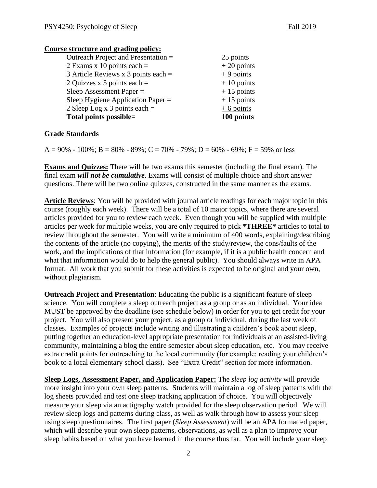#### **Course structure and grading policy:**

| 25 points    |
|--------------|
| $+20$ points |
| $+9$ points  |
| $+10$ points |
| $+15$ points |
| $+15$ points |
| $+6$ points  |
| 100 points   |
|              |

#### **Grade Standards**

 $A = 90\% - 100\%$ ;  $B = 80\% - 89\%$ ;  $C = 70\% - 79\%$ ;  $D = 60\% - 69\%$ ;  $F = 59\%$  or less

**Exams and Quizzes:** There will be two exams this semester (including the final exam). The final exam *will not be cumulative*. Exams will consist of multiple choice and short answer questions. There will be two online quizzes, constructed in the same manner as the exams.

**Article Reviews**: You will be provided with journal article readings for each major topic in this course (roughly each week). There will be a total of 10 major topics, where there are several articles provided for you to review each week. Even though you will be supplied with multiple articles per week for multiple weeks, you are only required to pick **\*THREE\*** articles to total to review throughout the semester. You will write a minimum of 400 words, explaining/describing the contents of the article (no copying), the merits of the study/review, the cons/faults of the work, and the implications of that information (for example, if it is a public health concern and what that information would do to help the general public). You should always write in APA format. All work that you submit for these activities is expected to be original and your own, without plagiarism.

**Outreach Project and Presentation**: Educating the public is a significant feature of sleep science. You will complete a sleep outreach project as a group or as an individual. Your idea MUST be approved by the deadline (see schedule below) in order for you to get credit for your project. You will also present your project, as a group or individual, during the last week of classes. Examples of projects include writing and illustrating a children's book about sleep, putting together an education-level appropriate presentation for individuals at an assisted-living community, maintaining a blog the entire semester about sleep education, etc. You may receive extra credit points for outreaching to the local community (for example: reading your children's book to a local elementary school class). See "Extra Credit" section for more information.

**Sleep Logs, Assessment Paper, and Application Paper:** The *sleep log activity* will provide more insight into your own sleep patterns. Students will maintain a log of sleep patterns with the log sheets provided and test one sleep tracking application of choice. You will objectively measure your sleep via an actigraphy watch provided for the sleep observation period. We will review sleep logs and patterns during class, as well as walk through how to assess your sleep using sleep questionnaires. The first paper (*Sleep Assessment*) will be an APA formatted paper, which will describe your own sleep patterns, observations, as well as a plan to improve your sleep habits based on what you have learned in the course thus far. You will include your sleep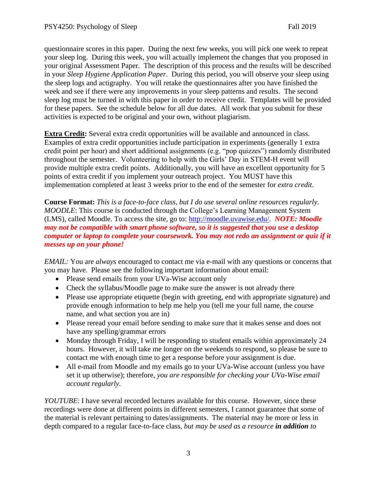questionnaire scores in this paper. During the next few weeks, you will pick one week to repeat your sleep log. During this week, you will actually implement the changes that you proposed in your original Assessment Paper. The description of this process and the results will be described in your *Sleep Hygiene Application Paper*. During this period, you will observe your sleep using the sleep logs and actigraphy. You will retake the questionnaires after you have finished the week and see if there were any improvements in your sleep patterns and results. The second sleep log must be turned in with this paper in order to receive credit. Templates will be provided for these papers. See the schedule below for all due dates. All work that you submit for these activities is expected to be original and your own, without plagiarism.

**Extra Credit:** Several extra credit opportunities will be available and announced in class. Examples of extra credit opportunities include participation in experiments (generally 1 extra credit point per hour) and short additional assignments (e.g. "pop quizzes") randomly distributed throughout the semester. Volunteering to help with the Girls' Day in STEM-H event will provide multiple extra credit points. Additionally, you will have an excellent opportunity for 5 points of extra credit if you implement your outreach project. You MUST have this implementation completed at least 3 weeks prior to the end of the semester for *extra credit*.

**Course Format:** *This is a face-to-face class, but I do use several online resources regularly. MOODLE*: This course is conducted through the College's Learning Management System (LMS), called Moodle. To access the site, go to: [http://moodle.uvawise.edu/.](http://moodle.uvawise.edu/) *NOTE: Moodle may not be compatible with smart phone software, so it is suggested that you use a desktop computer or laptop to complete your coursework. You may not redo an assignment or quiz if it messes up on your phone!*

*EMAIL:* You are *always* encouraged to contact me via e-mail with any questions or concerns that you may have. Please see the following important information about email:

- Please send emails from your UVa-Wise account only
- Check the syllabus/Moodle page to make sure the answer is not already there
- Please use appropriate etiquette (begin with greeting, end with appropriate signature) and provide enough information to help me help you (tell me your full name, the course name, and what section you are in)
- Please reread your email before sending to make sure that it makes sense and does not have any spelling/grammar errors
- Monday through Friday, I will be responding to student emails within approximately 24 hours. However, it will take me longer on the weekends to respond, so please be sure to contact me with enough time to get a response before your assignment is due.
- All e-mail from Moodle and my emails go to your UVa-Wise account (unless you have set it up otherwise); therefore*, you are responsible for checking your UVa-Wise email account regularly.*

*YOUTUBE*: I have several recorded lectures available for this course. However, since these recordings were done at different points in different semesters, I cannot guarantee that some of the material is relevant pertaining to dates/assignments. The material may be more or less in depth compared to a regular face-to-face class, *but may be used as a resource in addition to*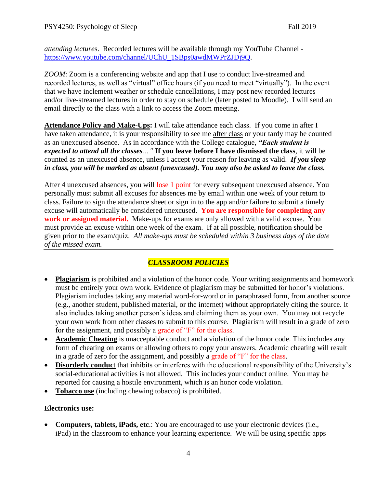*attending lecture*s. Recorded lectures will be available through my YouTube Channel [https://www.youtube.com/channel/UChU\\_1SBps0awdMWPrZJDj9Q.](https://www.youtube.com/channel/UChU_1SBps0awdMWPrZJDj9Q)

*ZOOM*: Zoom is a conferencing website and app that I use to conduct live-streamed and recorded lectures, as well as "virtual" office hours (if you need to meet "virtually"). In the event that we have inclement weather or schedule cancellations, I may post new recorded lectures and/or live-streamed lectures in order to stay on schedule (later posted to Moodle). I will send an email directly to the class with a link to access the Zoom meeting.

**Attendance Policy and Make-Ups:** I will take attendance each class. If you come in after I have taken attendance, it is your responsibility to see me after class or your tardy may be counted as an unexcused absence. As in accordance with the College catalogue, *"Each student is expected to attend all the classes…"* **If you leave before I have dismissed the class**, it will be counted as an unexcused absence, unless I accept your reason for leaving as valid. *If you sleep in class, you will be marked as absent (unexcused). You may also be asked to leave the class.*

After 4 unexcused absences, you will lose 1 point for every subsequent unexcused absence. You personally must submit all excuses for absences me by email within one week of your return to class. Failure to sign the attendance sheet or sign in to the app and/or failure to submit a timely excuse will automatically be considered unexcused. **You are responsible for completing any work or assigned material.** Make-ups for exams are only allowed with a valid excuse. You must provide an excuse within one week of the exam. If at all possible, notification should be given prior to the exam/quiz. *All make-ups must be scheduled within 3 business days of the date of the missed exam.*

# *CLASSROOM POLICIES*

- **Plagiarism** is prohibited and a violation of the honor code. Your writing assignments and homework must be entirely your own work. Evidence of plagiarism may be submitted for honor's violations. Plagiarism includes taking any material word-for-word or in paraphrased form, from another source (e.g., another student, published material, or the internet) without appropriately citing the source. It also includes taking another person's ideas and claiming them as your own. You may not recycle your own work from other classes to submit to this course. Plagiarism will result in a grade of zero for the assignment, and possibly a grade of "F" for the class.
- **Academic Cheating** is unacceptable conduct and a violation of the honor code. This includes any form of cheating on exams or allowing others to copy your answers. Academic cheating will result in a grade of zero for the assignment, and possibly a grade of "F" for the class.
- **Disorderly conduc**t that inhibits or interferes with the educational responsibility of the University's social-educational activities is not allowed. This includes your conduct online. You may be reported for causing a hostile environment, which is an honor code violation.
- **Tobacco use** (including chewing tobacco) is prohibited.

## **Electronics use:**

• **Computers, tablets, iPads, etc**.: You are encouraged to use your electronic devices (i.e., iPad) in the classroom to enhance your learning experience. We will be using specific apps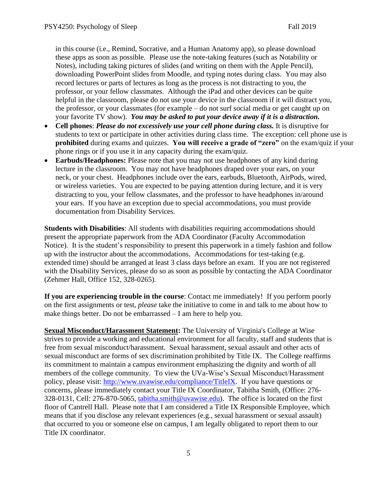in this course (i.e., Remind, Socrative, and a Human Anatomy app), so please download these apps as soon as possible. Please use the note-taking features (such as Notability or Notes), including taking pictures of slides (and writing on them with the Apple Pencil), downloading PowerPoint slides from Moodle, and typing notes during class. You may also record lectures or parts of lectures as long as the process is not distracting to you, the professor, or your fellow classmates. Although the iPad and other devices can be quite helpful in the classroom, please do not use your device in the classroom if it will distract you, the professor, or your classmates (for example – do not surf social media or get caught up on your favorite TV show). *You may be asked to put your device away if it is a distraction.*

- **Cell phones**: *Please do not excessively use your cell phone during class.* It is disruptive for students to text or participate in other activities during class time. The exception: cell phone use is **prohibited** during exams and quizzes. **You will receive a grade of "zero"** on the exam/quiz if your phone rings or if you use it in any capacity during the exam/quiz.
- **Earbuds/Headphones:** Please note that you may not use headphones of any kind during lecture in the classroom. You may not have headphones draped over your ears, on your neck, or your chest. Headphones include over the ears, earbuds, Bluetooth, AirPods, wired, or wireless varieties. You are expected to be paying attention during lecture, and it is very distracting to you, your fellow classmates, and the professor to have headphones in/around your ears. If you have an exception due to special accommodations, you must provide documentation from Disability Services.

**Students with Disabilities**: All students with disabilities requiring accommodations should present the appropriate paperwork from the ADA Coordinator (Faculty Accommodation Notice). It is the student's responsibility to present this paperwork in a timely fashion and follow up with the instructor about the accommodations. Accommodations for test-taking (e.g. extended time) should be arranged at least 3 class days before an exam. If you are not registered with the Disability Services, please do so as soon as possible by contacting the ADA Coordinator (Zehmer Hall, Office 152, 328-0265).

**If you are experiencing trouble in the course**: Contact me immediately! If you perform poorly on the first assignments or test, *please* take the initiative to come in and talk to me about how to make things better. Do not be embarrassed – I am here to help you.

**Sexual Misconduct/Harassment Statement:** The University of Virginia's College at Wise strives to provide a working and educational environment for all faculty, staff and students that is free from sexual misconduct/harassment. Sexual harassment, sexual assault and other acts of sexual misconduct are forms of sex discrimination prohibited by Title IX. The College reaffirms its commitment to maintain a campus environment emphasizing the dignity and worth of all members of the college community. To view the UVa-Wise's Sexual Misconduct/Harassment policy, please visit: [http://www.uvawise.edu/compliance/TitleIX.](http://www.uvawise.edu/compliance/TitleIX) If you have questions or concerns, please immediately contact your Title IX Coordinator, Tabitha Smith, (Office: 276- 328-0131, Cell: 276-870-5065, [tabitha.smith@uvawise.edu\)](mailto:tabitha.smith@uvawise.edu). The office is located on the first floor of Cantrell Hall. Please note that I am considered a Title IX Responsible Employee, which means that if you disclose any relevant experiences (e.g., sexual harassment or sexual assault) that occurred to you or someone else on campus, I am legally obligated to report them to our Title IX coordinator.